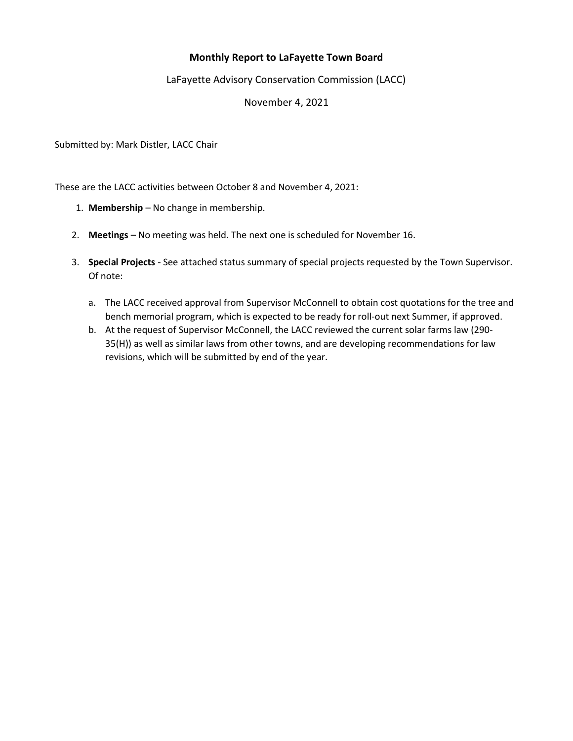## Monthly Report to LaFayette Town Board

## LaFayette Advisory Conservation Commission (LACC)

November 4, 2021

Submitted by: Mark Distler, LACC Chair

These are the LACC activities between October 8 and November 4, 2021:

- 1. Membership No change in membership.
- 2. Meetings No meeting was held. The next one is scheduled for November 16.
- 3. Special Projects See attached status summary of special projects requested by the Town Supervisor. Of note:
	- a. The LACC received approval from Supervisor McConnell to obtain cost quotations for the tree and bench memorial program, which is expected to be ready for roll-out next Summer, if approved.
	- b. At the request of Supervisor McConnell, the LACC reviewed the current solar farms law (290- 35(H)) as well as similar laws from other towns, and are developing recommendations for law revisions, which will be submitted by end of the year.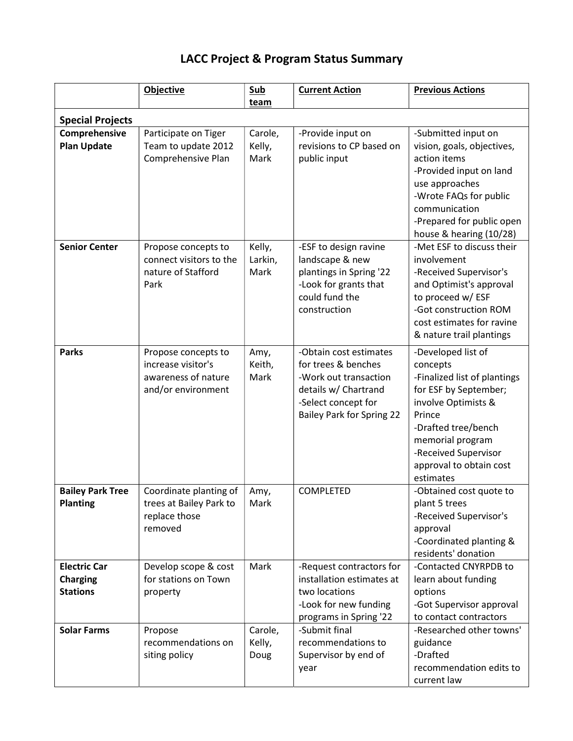## LACC Project & Program Status Summary

|                                                           | Objective                                                                              | <b>Sub</b><br>team        | <b>Current Action</b>                                                                                                                                     | <b>Previous Actions</b>                                                                                                                                                                                                             |  |  |  |
|-----------------------------------------------------------|----------------------------------------------------------------------------------------|---------------------------|-----------------------------------------------------------------------------------------------------------------------------------------------------------|-------------------------------------------------------------------------------------------------------------------------------------------------------------------------------------------------------------------------------------|--|--|--|
| <b>Special Projects</b>                                   |                                                                                        |                           |                                                                                                                                                           |                                                                                                                                                                                                                                     |  |  |  |
| Comprehensive<br><b>Plan Update</b>                       | Participate on Tiger<br>Team to update 2012<br>Comprehensive Plan                      | Carole,<br>Kelly,<br>Mark | -Provide input on<br>revisions to CP based on<br>public input                                                                                             | -Submitted input on<br>vision, goals, objectives,<br>action items<br>-Provided input on land<br>use approaches<br>-Wrote FAQs for public<br>communication<br>-Prepared for public open<br>house & hearing (10/28)                   |  |  |  |
| <b>Senior Center</b>                                      | Propose concepts to<br>connect visitors to the<br>nature of Stafford<br>Park           | Kelly,<br>Larkin,<br>Mark | -ESF to design ravine<br>landscape & new<br>plantings in Spring '22<br>-Look for grants that<br>could fund the<br>construction                            | -Met ESF to discuss their<br>involvement<br>-Received Supervisor's<br>and Optimist's approval<br>to proceed w/ ESF<br>-Got construction ROM<br>cost estimates for ravine<br>& nature trail plantings                                |  |  |  |
| <b>Parks</b>                                              | Propose concepts to<br>increase visitor's<br>awareness of nature<br>and/or environment | Amy,<br>Keith,<br>Mark    | -Obtain cost estimates<br>for trees & benches<br>-Work out transaction<br>details w/ Chartrand<br>-Select concept for<br><b>Bailey Park for Spring 22</b> | -Developed list of<br>concepts<br>-Finalized list of plantings<br>for ESF by September;<br>involve Optimists &<br>Prince<br>-Drafted tree/bench<br>memorial program<br>-Received Supervisor<br>approval to obtain cost<br>estimates |  |  |  |
| <b>Bailey Park Tree</b><br><b>Planting</b>                | Coordinate planting of<br>trees at Bailey Park to<br>replace those<br>removed          | Amy,<br>Mark              | COMPLETED                                                                                                                                                 | -Obtained cost quote to<br>plant 5 trees<br>-Received Supervisor's<br>approval<br>-Coordinated planting &<br>residents' donation                                                                                                    |  |  |  |
| <b>Electric Car</b><br><b>Charging</b><br><b>Stations</b> | Develop scope & cost<br>for stations on Town<br>property                               | Mark                      | -Request contractors for<br>installation estimates at<br>two locations<br>-Look for new funding<br>programs in Spring '22                                 | -Contacted CNYRPDB to<br>learn about funding<br>options<br>-Got Supervisor approval<br>to contact contractors                                                                                                                       |  |  |  |
| <b>Solar Farms</b>                                        | Propose<br>recommendations on<br>siting policy                                         | Carole,<br>Kelly,<br>Doug | -Submit final<br>recommendations to<br>Supervisor by end of<br>year                                                                                       | -Researched other towns'<br>guidance<br>-Drafted<br>recommendation edits to<br>current law                                                                                                                                          |  |  |  |